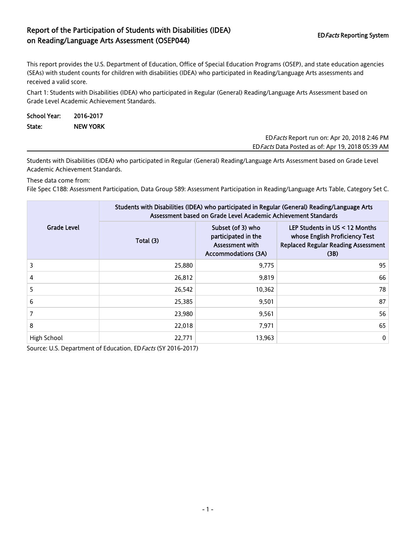## Report of the Participation of Students with Disabilities (IDEA) on Reading/Language Arts Assessment (OSEP044) EDFacts Reporting System

This report provides the U.S. Department of Education, Office of Special Education Programs (OSEP), and state education agencies (SEAs) with student counts for children with disabilities (IDEA) who participated in Reading/Language Arts assessments and received a valid score.

Chart 1: Students with Disabilities (IDEA) who participated in Regular (General) Reading/Language Arts Assessment based on Grade Level Academic Achievement Standards.

| School Year: | 2016-2017       |                                                     |
|--------------|-----------------|-----------------------------------------------------|
| State:       | <b>NEW YORK</b> |                                                     |
|              |                 | ED <i>Facts</i> Report run on: Apr 20, 2018 2:46 PM |

EDFacts Data Posted as of: Apr 19, 2018 05:39 AM

Students with Disabilities (IDEA) who participated in Regular (General) Reading/Language Arts Assessment based on Grade Level Academic Achievement Standards.

These data come from:

File Spec C188: Assessment Participation, Data Group 589: Assessment Participation in Reading/Language Arts Table, Category Set C.

|                    | Students with Disabilities (IDEA) who participated in Regular (General) Reading/Language Arts<br>Assessment based on Grade Level Academic Achievement Standards |                                                                                           |                                                                                                                          |  |  |  |
|--------------------|-----------------------------------------------------------------------------------------------------------------------------------------------------------------|-------------------------------------------------------------------------------------------|--------------------------------------------------------------------------------------------------------------------------|--|--|--|
| <b>Grade Level</b> | Total (3)                                                                                                                                                       | Subset (of 3) who<br>participated in the<br>Assessment with<br><b>Accommodations (3A)</b> | LEP Students in $US < 12$ Months<br>whose English Proficiency Test<br><b>Replaced Regular Reading Assessment</b><br>(3B) |  |  |  |
| 3                  | 25,880                                                                                                                                                          | 9,775                                                                                     | 95                                                                                                                       |  |  |  |
| 4                  | 26,812                                                                                                                                                          | 9.819                                                                                     | 66                                                                                                                       |  |  |  |
| 5                  | 26,542                                                                                                                                                          | 10,362                                                                                    | 78                                                                                                                       |  |  |  |
| 6                  | 25,385                                                                                                                                                          | 9,501                                                                                     | 87                                                                                                                       |  |  |  |
|                    | 23,980                                                                                                                                                          | 9,561                                                                                     | 56                                                                                                                       |  |  |  |
| 8                  | 22,018                                                                                                                                                          | 7.971                                                                                     | 65                                                                                                                       |  |  |  |
| High School        | 22,771                                                                                                                                                          | 13,963                                                                                    | $\mathbf 0$                                                                                                              |  |  |  |

Source: U.S. Department of Education, ED Facts (SY 2016-2017)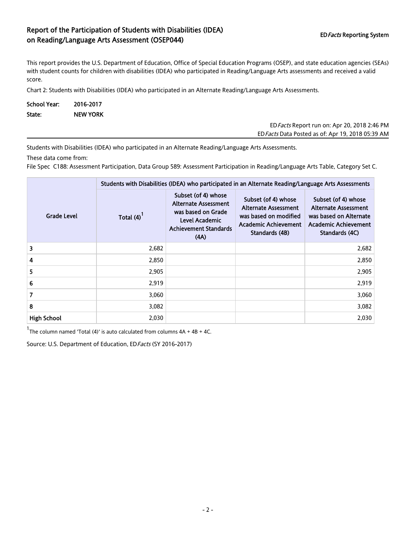## Report of the Participation of Students with Disabilities (IDEA) on Reading/Language Arts Assessment (OSEP044) EDFacts Reporting System EDFacts Reporting System

This report provides the U.S. Department of Education, Office of Special Education Programs (OSEP), and state education agencies (SEAs) with student counts for children with disabilities (IDEA) who participated in Reading/Language Arts assessments and received a valid score.

Chart 2: Students with Disabilities (IDEA) who participated in an Alternate Reading/Language Arts Assessments.

| <b>School Year:</b> | 2016-2017       |
|---------------------|-----------------|
| State:              | <b>NEW YORK</b> |

EDFacts Report run on: Apr 20, 2018 2:46 PM EDFacts Data Posted as of: Apr 19, 2018 05:39 AM

Students with Disabilities (IDEA) who participated in an Alternate Reading/Language Arts Assessments.

These data come from:

File Spec C188: Assessment Participation, Data Group 589: Assessment Participation in Reading/Language Arts Table, Category Set C.

|                    | Students with Disabilities (IDEA) who participated in an Alternate Reading/Language Arts Assessments |                                                                                                                                    |                                                                                                                              |                                                                                                                               |  |  |
|--------------------|------------------------------------------------------------------------------------------------------|------------------------------------------------------------------------------------------------------------------------------------|------------------------------------------------------------------------------------------------------------------------------|-------------------------------------------------------------------------------------------------------------------------------|--|--|
| <b>Grade Level</b> | Total (4)                                                                                            | Subset (of 4) whose<br><b>Alternate Assessment</b><br>was based on Grade<br>Level Academic<br><b>Achievement Standards</b><br>(AA) | Subset (of 4) whose<br><b>Alternate Assessment</b><br>was based on modified<br><b>Academic Achievement</b><br>Standards (4B) | Subset (of 4) whose<br><b>Alternate Assessment</b><br>was based on Alternate<br><b>Academic Achievement</b><br>Standards (4C) |  |  |
| 3                  | 2,682                                                                                                |                                                                                                                                    |                                                                                                                              | 2,682                                                                                                                         |  |  |
| 4                  | 2,850                                                                                                |                                                                                                                                    |                                                                                                                              | 2,850                                                                                                                         |  |  |
| 5                  | 2,905                                                                                                |                                                                                                                                    |                                                                                                                              | 2,905                                                                                                                         |  |  |
| 6                  | 2,919                                                                                                |                                                                                                                                    |                                                                                                                              | 2,919                                                                                                                         |  |  |
| $\overline{7}$     | 3,060                                                                                                |                                                                                                                                    |                                                                                                                              | 3,060                                                                                                                         |  |  |
| 8                  | 3,082                                                                                                |                                                                                                                                    |                                                                                                                              | 3,082                                                                                                                         |  |  |
| <b>High School</b> | 2,030                                                                                                |                                                                                                                                    |                                                                                                                              | 2,030                                                                                                                         |  |  |

 $1$ The column named 'Total (4)' is auto calculated from columns  $4A + 4B + 4C$ .

Source: U.S. Department of Education, ED Facts (SY 2016-2017)